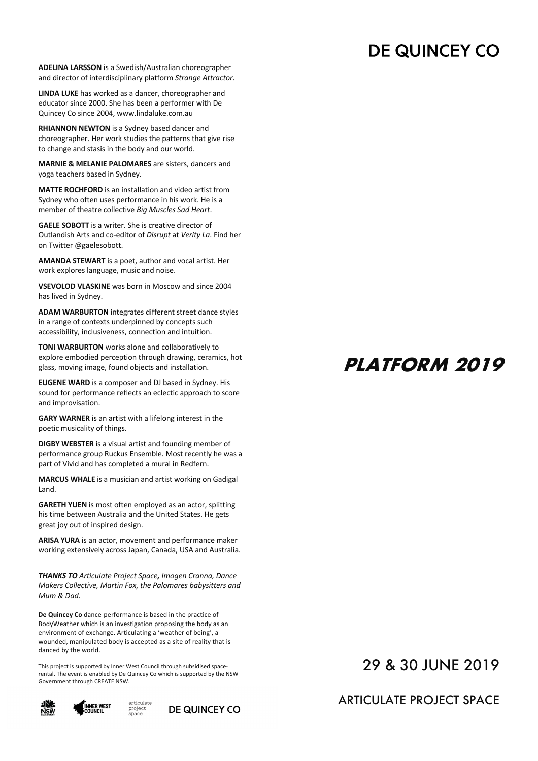## **DE QUINCEY CO**

**ADELINA LARSSON** is a Swedish/Australian choreographer and director of interdisciplinary platform *Strange Attractor*.

**LINDA LUKE** has worked as a dancer, choreographer and educator since 2000. She has been a performer with De Quincey Co since 2004, www.lindaluke.com.au

**RHIANNON NEWTON** is a Sydney based dancer and choreographer. Her work studies the patterns that give rise to change and stasis in the body and our world.

**MARNIE & MELANIE PALOMARES** are sisters, dancers and yoga teachers based in Sydney.

**MATTE ROCHFORD** is an installation and video artist from Sydney who often uses performance in his work. He is a member of theatre collective *Big Muscles Sad Heart*.

**GAELE SOBOTT** is a writer. She is creative director of Outlandish Arts and co-editor of *Disrupt* at *Verity La*. Find her on Twitter @gaelesobott.

**AMANDA STEWART** is a poet, author and vocal artist. Her work explores language, music and noise.

**VSEVOLOD VLASKINE** was born in Moscow and since 2004 has lived in Sydney.

**ADAM WARBURTON** integrates different street dance styles in a range of contexts underpinned by concepts such accessibility, inclusiveness, connection and intuition.

**TONI WARBURTON** works alone and collaboratively to explore embodied perception through drawing, ceramics, hot glass, moving image, found objects and installation.

**EUGENE WARD** is a composer and DJ based in Sydney. His sound for performance reflects an eclectic approach to score and improvisation.

**GARY WARNER** is an artist with a lifelong interest in the poetic musicality of things.

**DIGBY WEBSTER** is a visual artist and founding member of performance group Ruckus Ensemble. Most recently he was a part of Vivid and has completed a mural in Redfern.

**MARCUS WHALE** is a musician and artist working on Gadigal Land.

**GARETH YUEN** is most often employed as an actor, splitting his time between Australia and the United States. He gets great joy out of inspired design.

**ARISA YURA** is an actor, movement and performance maker working extensively across Japan, Canada, USA and Australia.

*THANKS TO Articulate Project Space, Imogen Cranna, Dance Makers Collective, Martin Fox, the Palomares babysitters and Mum & Dad.*

**De Quincey Co** dance-performance is based in the practice of BodyWeather which is an investigation proposing the body as an environment of exchange. Articulating a 'weather of being', a wounded, manipulated body is accepted as a site of reality that is danced by the world.

This project is supported by Inner West Council through subsidised spacerental. The event is enabled by De Quincey Co which is supported by the NSW Government through CREATE NSW.



articulate I<mark>nner West</mark><br>Council project<br>space



# **PLATFORM 2019**

### 29 & 30 JUNE 2019

#### ARTICULATE PROJECT SPACE